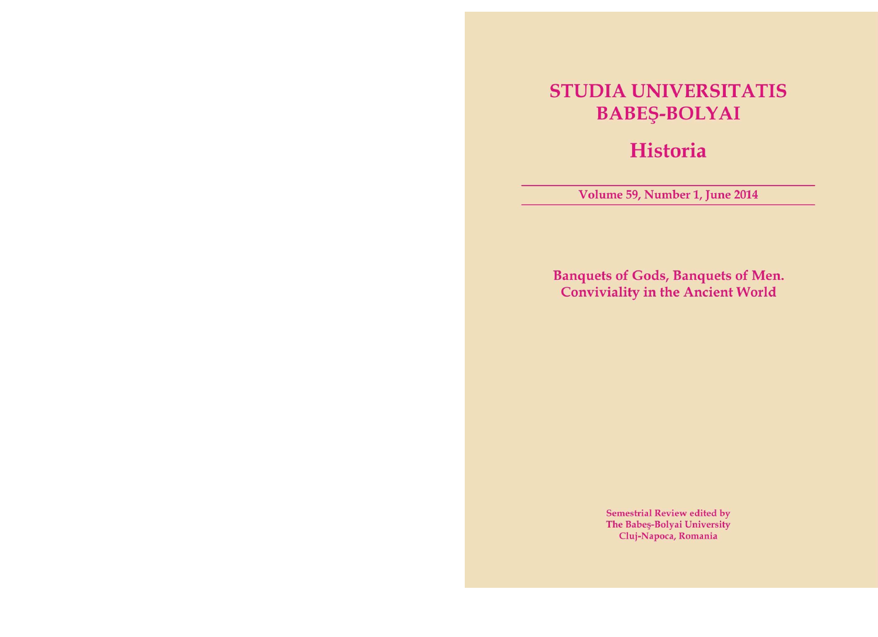### **STUDIA UNIVERSITATIS BABEŞ-BOLYAI**

### **Historia**

Volume 59, Number 1, June 2014

**Banquets of Gods, Banquets of Men. Conviviality in the Ancient World** 

> **Semestrial Review edited by** The Babeş-Bolyai University Cluj-Napoca, Romania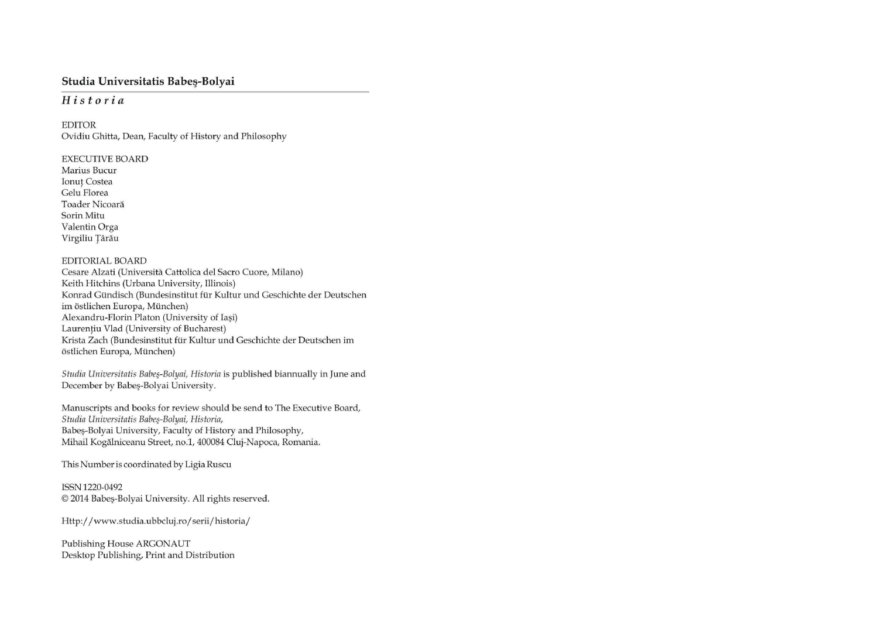# Studia Universitatis Babeș-Bolyai

# Historia

**EDITOR** Ovidiu Ghitta, Dean, Faculty of History and Philosophy

**EXECUTIVE BOARD** Marius Bucur **Ionuț Costea** Gelu Florea Toader Nicoară Sorin Mitu Valentin Orga Virgiliu Țârău

## **EDITORIAL BOARD**

Cesare Alzati (Università Cattolica del Sacro Cuore, Milano) Keith Hitchins (Urbana University, Illinois) Konrad Gündisch (Bundesinstitut für Kultur und Geschichte der Deutschen im östlichen Europa, München) Alexandru-Florin Platon (University of Iaşi) Laurențiu Vlad (University of Bucharest) Krista Zach (Bundesinstitut für Kultur und Geschichte der Deutschen im östlichen Europa, München)

Studia Universitatis Babeş-Bolyai, Historia is published biannually in June and December by Babeş-Bolyai University.

Manuscripts and books for review should be send to The Executive Board, Studia Universitatis Babeş-Bolyai, Historia, Babeş-Bolyai University, Faculty of History and Philosophy, Mihail Kogălniceanu Street, no.1, 400084 Cluj-Napoca, Romania.

This Number is coordinated by Ligia Ruscu

ISSN 1220-0492 © 2014 Babeş-Bolyai University. All rights reserved.

Http://www.studia.ubbcluj.ro/serii/historia/

Publishing House ARGONAUT Desktop Publishing, Print and Distribution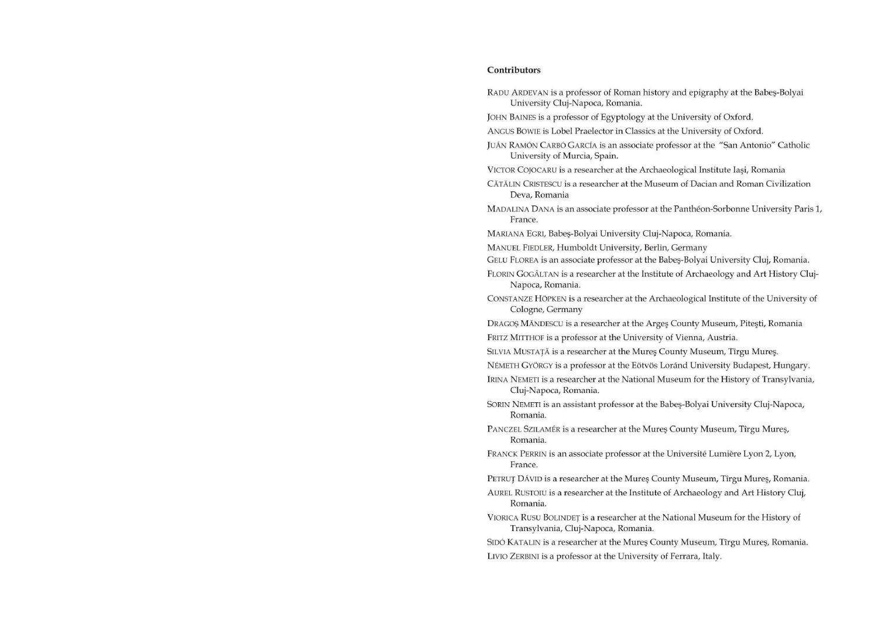## Contributors

- RADU ARDEVAN is a professor of Roman history and epigraphy at the Babeş-Bolyai University Cluj-Napoca, Romania.
- JOHN BAINES is a professor of Egyptology at the University of Oxford.

ANGUS BOWIE is Lobel Praelector in Classics at the University of Oxford.

JUÁN RAMÓN CARBÓ GARCÍA is an associate professor at the "San Antonio" Catholic University of Murcia, Spain.

VICTOR COJOCARU is a researcher at the Archaeological Institute Iași, Romania

- CĂTĂLIN CRISTESCU is a researcher at the Museum of Dacian and Roman Civilization Deva, Romania
- MADALINA DANA is an associate professor at the Panthéon-Sorbonne University Paris 1, France.
- MARIANA EGRI, Babeş-Bolyai University Cluj-Napoca, Romania.
- MANUEL FIEDLER, Humboldt University, Berlin, Germany

GELU FLOREA is an associate professor at the Babeş-Bolyai University Cluj, Romania.

FLORIN GOGÂLTAN is a researcher at the Institute of Archaeology and Art History Cluj-Napoca, Romania.

CONSTANZE HÖPKEN is a researcher at the Archaeological Institute of the University of Cologne, Germany

DRAGOȘ MĂNDESCU is a researcher at the Arges County Museum, Pitești, Romania FRITZ MITTHOF is a professor at the University of Vienna, Austria.

SILVIA MUSTAȚĂ is a researcher at the Mureş County Museum, Tîrgu Mureş.

NÉMETH GYÖRGY is a professor at the Eötvös Loránd University Budapest, Hungary.

- IRINA NEMETI is a researcher at the National Museum for the History of Transylvania, Cluj-Napoca, Romania.
- SORIN NEMETI is an assistant professor at the Babeş-Bolyai University Cluj-Napoca, Romania.
- PANCZEL SZILAMÉR is a researcher at the Mureş County Museum, Tîrgu Mureş, Romania.
- FRANCK PERRIN is an associate professor at the Université Lumière Lyon 2, Lyon, France.

PETRUȚ DÁVID is a researcher at the Mureş County Museum, Tîrgu Mureş, Romania.

- AUREL RUSTOIU is a researcher at the Institute of Archaeology and Art History Cluj, Romania.
- VIORICA RUSU BOLINDET is a researcher at the National Museum for the History of Transylvania, Cluj-Napoca, Romania.

SIDÓ KATALIN is a researcher at the Mureş County Museum, Tîrgu Mureş, Romania.

LIVIO ZERBINI is a professor at the University of Ferrara, Italy.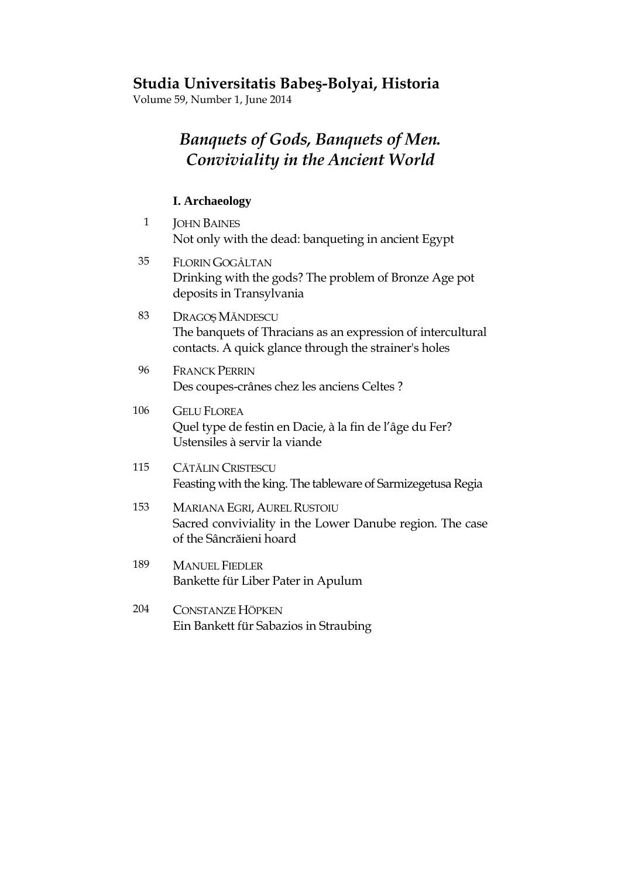#### **Studia Universitatis Babeş-Bolyai, Historia**

Volume 59, Number 1, June 2014

#### *Banquets of Gods, Banquets of Men. Conviviality in the Ancient World*

#### **I. Archaeology**

- 1 JOHN BAINES Not only with the dead: banqueting in ancient Egypt 35 FLORIN GOGÂLTAN Drinking with the gods? The problem of Bronze Age pot deposits in Transylvania 83 DRAGOS MĂNDESCU The banquets of Thracians as an expression of intercultural contacts. A quick glance through the strainer's holes 96 FRANCK PERRIN Des coupes-crânes chez les anciens Celtes ? 106 GELU FLOREA Quel type de festin en Dacie, à la fin de l'âge du Fer? Ustensiles à servir la viande 115 CĂTĂLIN CRISTESCU Feasting with the king. The tableware of Sarmizegetusa Regia 153 MARIANA EGRI, AUREL RUSTOIU Sacred conviviality in the Lower Danube region. The case of the Sâncrăieni hoard 189 MANUEL FIEDLER Bankette für Liber Pater in Apulum 204 CONSTANZE HÖPKEN
	- Ein Bankett für Sabazios in Straubing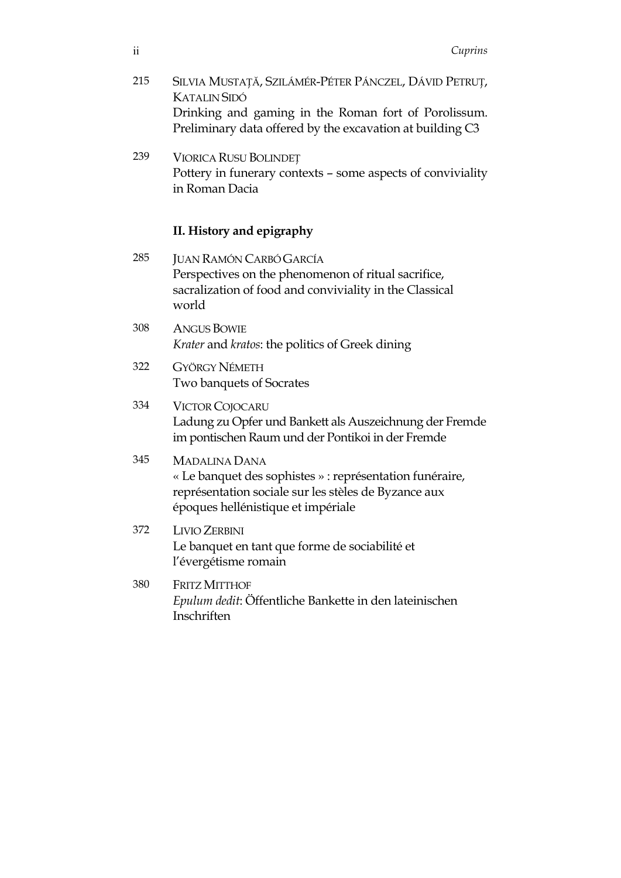- 215 SILVIA MUSTATĂ, SZILÁMÉR-PÉTER PÁNCZEL, DÁVID PETRUT, KATALIN SIDÓ Drinking and gaming in the Roman fort of Porolissum. Preliminary data offered by the excavation at building C3
- 239 VIORICA RUSU BOLINDE^ Pottery in funerary contexts – some aspects of conviviality in Roman Dacia

#### **II. History and epigraphy**

285 JUAN RAMÓN CARBÓ GARCÍA Perspectives on the phenomenon of ritual sacrifice, sacralization of food and conviviality in the Classical world 308 ANGUS BOWIE *Krater* and *kratos*: the politics of Greek dining 322 GYÖRGY NÉMETH Two banquets of Socrates 334 VICTOR COJOCARU Ladung zu Opfer und Bankett als Auszeichnung der Fremde im pontischen Raum und der Pontikoi in der Fremde 345 MADALINA DANA « Le banquet des sophistes » : représentation funéraire, représentation sociale sur les stèles de Byzance aux époques hellénistique et impériale 372 LIVIO ZERBINI Le banquet en tant que forme de sociabilité et l'évergétisme romain 380 FRITZ MITTHOF *Epulum dedit*: Öffentliche Bankette in den lateinischen **Inschriften**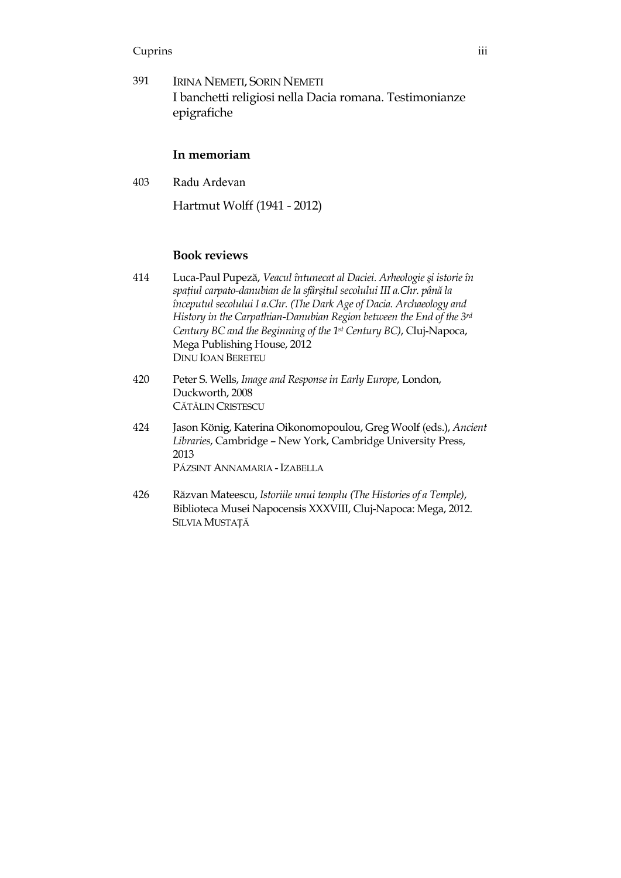#### Cuprins iii

391 IRINA NEMETI, SORIN NEMETI I banchetti religiosi nella Dacia romana. Testimonianze epigrafiche

#### **In memoriam**

403 Radu Ardevan

Hartmut Wolff (1941 - 2012)

#### **Book reviews**

- 414 Luca-Paul Pupez?, *Veacul întunecat al Daciei. Arheologie şi istorie în spaţiul carpato-danubian de la sfârşitul secolului III a.Chr. până la începutul secolului I a.Chr. (The Dark Age of Dacia. Archaeology and History in the Carpathian-Danubian Region between the End of the 3rd Century BC and the Beginning of the 1st Century BC)*, Cluj-Napoca, Mega Publishing House, 2012 DINU IOAN BERETEU
- 420 Peter S. Wells, *Image and Response in Early Europe*, London, Duckworth, 2008 CĂTĂLIN CRISTESCU
- 424 Jason König, Katerina Oikonomopoulou, Greg Woolf (eds.), *Ancient Libraries*, Cambridge – New York, Cambridge University Press, 2013 PÁZSINT ANNAMARIA - IZABELLA
- 426 R?zvan Mateescu, *Istoriile unui templu (The Histories of a Temple)*, Biblioteca Musei Napocensis XXXVIII, Cluj-Napoca: Mega, 2012. SILVIA MUSTAȚĂ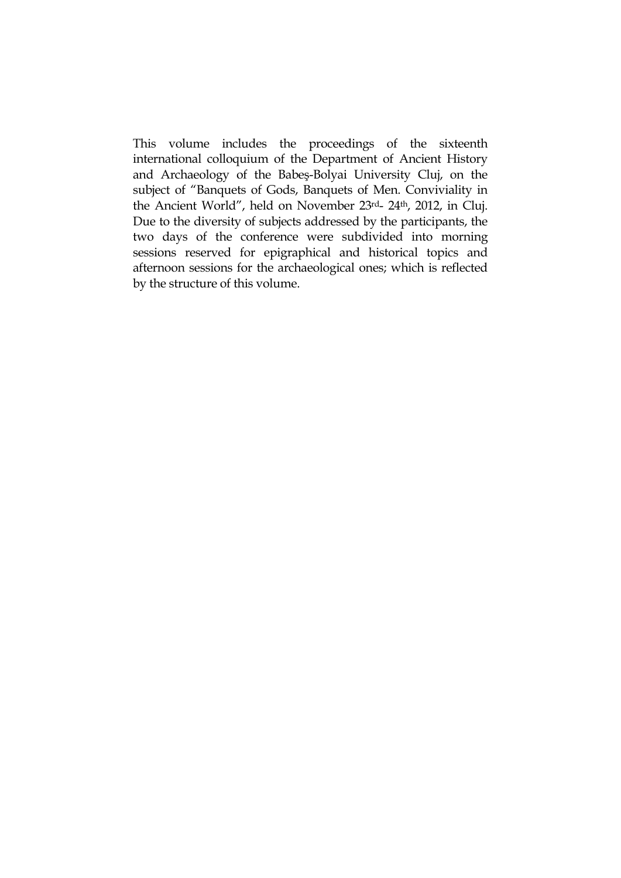This volume includes the proceedings of the sixteenth international colloquium of the Department of Ancient History and Archaeology of the Babeş-Bolyai University Cluj, on the subject of "Banquets of Gods, Banquets of Men. Conviviality in the Ancient World", held on November 23rd- 24th, 2012, in Cluj. Due to the diversity of subjects addressed by the participants, the two days of the conference were subdivided into morning sessions reserved for epigraphical and historical topics and afternoon sessions for the archaeological ones; which is reflected by the structure of this volume.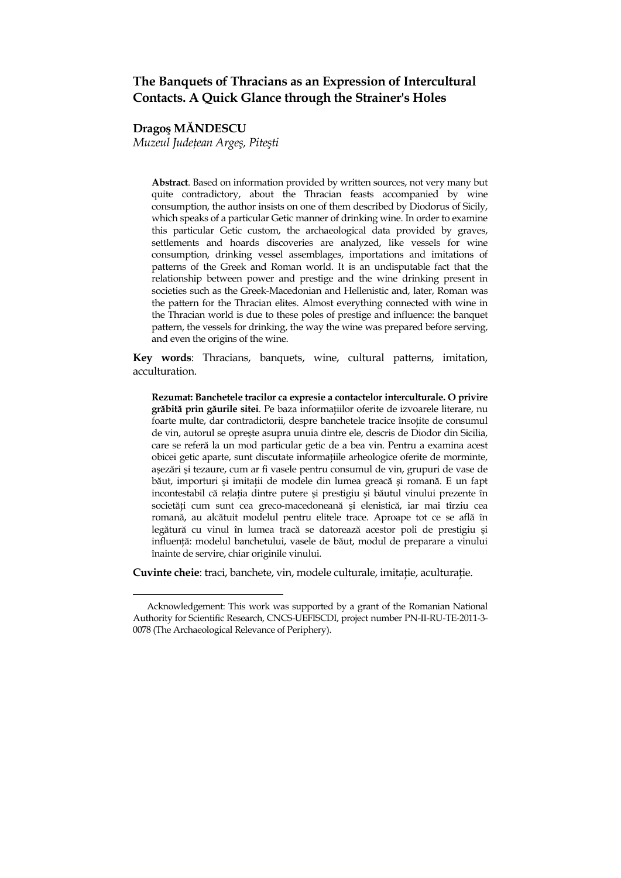#### **The Banquets of Thracians as an Expression of Intercultural Contacts. A Quick Glance through the Strainer's Holes**

**Dragoş M>NDESCU** 

l.

*Muzeul Judeţean Argeş, Piteşti* 

**Abstract**. Based on information provided by written sources, not very many but quite contradictory, about the Thracian feasts accompanied by wine consumption, the author insists on one of them described by Diodorus of Sicily, which speaks of a particular Getic manner of drinking wine. In order to examine this particular Getic custom, the archaeological data provided by graves, settlements and hoards discoveries are analyzed, like vessels for wine consumption, drinking vessel assemblages, importations and imitations of patterns of the Greek and Roman world. It is an undisputable fact that the relationship between power and prestige and the wine drinking present in societies such as the Greek-Macedonian and Hellenistic and, later, Roman was the pattern for the Thracian elites. Almost everything connected with wine in the Thracian world is due to these poles of prestige and influence: the banquet pattern, the vessels for drinking, the way the wine was prepared before serving, and even the origins of the wine.

**Key words**: Thracians, banquets, wine, cultural patterns, imitation, acculturation.

**Rezumat: Banchetele tracilor ca expresie a contactelor interculturale. O privire gr?bit? prin g?urile sitei**. Pe baza informa\_iilor oferite de izvoarele literare, nu foarte multe, dar contradictorii, despre banchetele tracice înso\_ite de consumul de vin, autorul se opreşte asupra unuia dintre ele, descris de Diodor din Sicilia, care se referă la un mod particular getic de a bea vin. Pentru a examina acest obicei getic aparte, sunt discutate informa\_iile arheologice oferite de morminte, așezări și tezaure, cum ar fi vasele pentru consumul de vin, grupuri de vase de băut, importuri și imitații de modele din lumea greacă și romană. E un fapt incontestabil că relația dintre putere și prestigiu și băutul vinului prezente în societăți cum sunt cea greco-macedoneană și elenistică, iar mai tîrziu cea romană, au alcătuit modelul pentru elitele trace. Aproape tot ce se află în legătură cu vinul în lumea tracă se datorează acestor poli de prestigiu și influență: modelul banchetului, vasele de băut, modul de preparare a vinului înainte de servire, chiar originile vinului.

**Cuvinte cheie**: traci, banchete, vin, modele culturale, imita\_ie, acultura\_ie.

Acknowledgement: This work was supported by a grant of the Romanian National Authority for Scientific Research, CNCS-UEFISCDI, project number PN-II-RU-TE-2011-3- 0078 (The Archaeological Relevance of Periphery).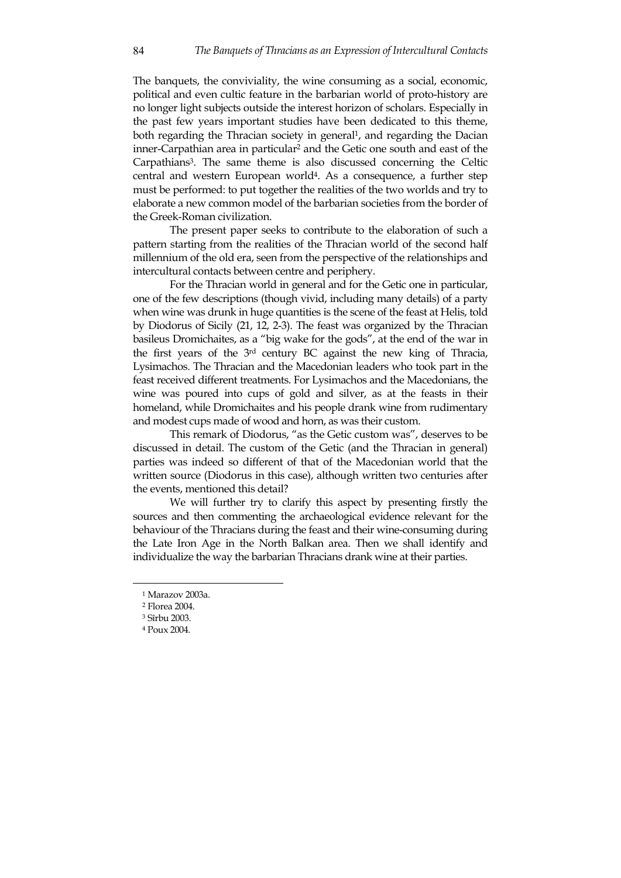The banquets, the conviviality, the wine consuming as a social, economic, political and even cultic feature in the barbarian world of proto-history are no longer light subjects outside the interest horizon of scholars. Especially in the past few years important studies have been dedicated to this theme, both regarding the Thracian society in general<sup>1</sup>, and regarding the Dacian inner-Carpathian area in particular<sup>2</sup> and the Getic one south and east of the Carpathians<sup>3</sup>. The same theme is also discussed concerning the Celtic central and western European world<sup>4</sup>. As a consequence, a further step must be performed: to put together the realities of the two worlds and try to elaborate a new common model of the barbarian societies from the border of the Greek-Roman civilization.

The present paper seeks to contribute to the elaboration of such a pattern starting from the realities of the Thracian world of the second half millennium of the old era, seen from the perspective of the relationships and intercultural contacts between centre and periphery.

For the Thracian world in general and for the Getic one in particular, one of the few descriptions (though vivid, including many details) of a party when wine was drunk in huge quantities is the scene of the feast at Helis, told by Diodorus of Sicily (21, 12, 2-3). The feast was organized by the Thracian basileus Dromichaites, as a "big wake for the gods", at the end of the war in the first years of the 3rd century BC against the new king of Thracia, Lysimachos. The Thracian and the Macedonian leaders who took part in the feast received different treatments. For Lysimachos and the Macedonians, the wine was poured into cups of gold and silver, as at the feasts in their homeland, while Dromichaites and his people drank wine from rudimentary and modest cups made of wood and horn, as was their custom.

This remark of Diodorus, "as the Getic custom was", deserves to be discussed in detail. The custom of the Getic (and the Thracian in general) parties was indeed so different of that of the Macedonian world that the written source (Diodorus in this case), although written two centuries after the events, mentioned this detail?

We will further try to clarify this aspect by presenting firstly the sources and then commenting the archaeological evidence relevant for the behaviour of the Thracians during the feast and their wine-consuming during the Late Iron Age in the North Balkan area. Then we shall identify and individualize the way the barbarian Thracians drank wine at their parties.

<sup>1</sup> Marazov 2003a.

<sup>2</sup> Florea 2004.

<sup>3</sup> Sîrbu 2003.

<sup>4</sup> Poux 2004.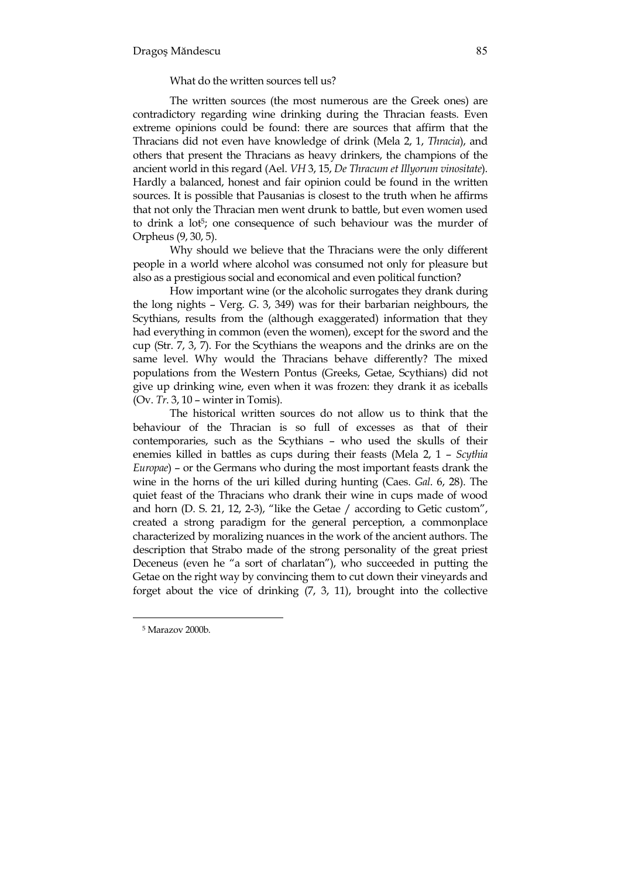What do the written sources tell us?

The written sources (the most numerous are the Greek ones) are contradictory regarding wine drinking during the Thracian feasts. Even extreme opinions could be found: there are sources that affirm that the Thracians did not even have knowledge of drink (Mela 2, 1, *Thracia*), and others that present the Thracians as heavy drinkers, the champions of the ancient world in this regard (Ael. *VH* 3, 15, *De Thracum et Illyorum vinositate*). Hardly a balanced, honest and fair opinion could be found in the written sources. It is possible that Pausanias is closest to the truth when he affirms that not only the Thracian men went drunk to battle, but even women used to drink a lot<sup>5</sup>; one consequence of such behaviour was the murder of Orpheus (9, 30, 5).

Why should we believe that the Thracians were the only different people in a world where alcohol was consumed not only for pleasure but also as a prestigious social and economical and even political function?

How important wine (or the alcoholic surrogates they drank during the long nights – Verg. *G*. 3, 349) was for their barbarian neighbours, the Scythians, results from the (although exaggerated) information that they had everything in common (even the women), except for the sword and the cup (Str. 7, 3, 7). For the Scythians the weapons and the drinks are on the same level. Why would the Thracians behave differently? The mixed populations from the Western Pontus (Greeks, Getae, Scythians) did not give up drinking wine, even when it was frozen: they drank it as iceballs (Ov. *Tr*. 3, 10 – winter in Tomis).

The historical written sources do not allow us to think that the behaviour of the Thracian is so full of excesses as that of their contemporaries, such as the Scythians – who used the skulls of their enemies killed in battles as cups during their feasts (Mela 2, 1 – *Scythia Europae*) – or the Germans who during the most important feasts drank the wine in the horns of the uri killed during hunting (Caes. *Gal*. 6, 28). The quiet feast of the Thracians who drank their wine in cups made of wood and horn (D. S. 21, 12, 2-3), "like the Getae / according to Getic custom", created a strong paradigm for the general perception, a commonplace characterized by moralizing nuances in the work of the ancient authors. The description that Strabo made of the strong personality of the great priest Deceneus (even he "a sort of charlatan"), who succeeded in putting the Getae on the right way by convincing them to cut down their vineyards and forget about the vice of drinking (7, 3, 11), brought into the collective

<sup>5</sup> Marazov 2000b.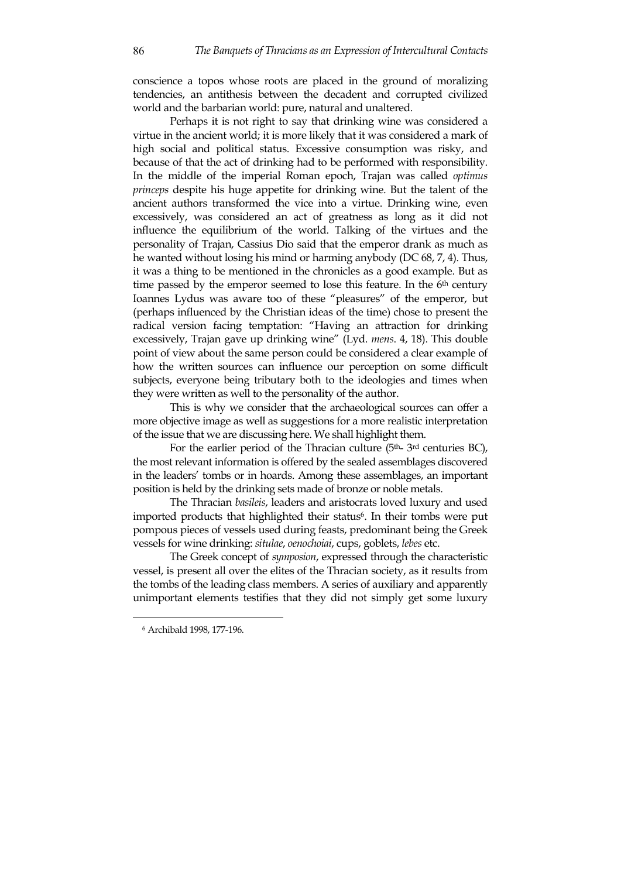conscience a topos whose roots are placed in the ground of moralizing tendencies, an antithesis between the decadent and corrupted civilized world and the barbarian world: pure, natural and unaltered.

Perhaps it is not right to say that drinking wine was considered a virtue in the ancient world; it is more likely that it was considered a mark of high social and political status. Excessive consumption was risky, and because of that the act of drinking had to be performed with responsibility. In the middle of the imperial Roman epoch, Trajan was called *optimus princeps* despite his huge appetite for drinking wine. But the talent of the ancient authors transformed the vice into a virtue. Drinking wine, even excessively, was considered an act of greatness as long as it did not influence the equilibrium of the world. Talking of the virtues and the personality of Trajan, Cassius Dio said that the emperor drank as much as he wanted without losing his mind or harming anybody (DC 68, 7, 4). Thus, it was a thing to be mentioned in the chronicles as a good example. But as time passed by the emperor seemed to lose this feature. In the  $6<sup>th</sup>$  century Ioannes Lydus was aware too of these "pleasures" of the emperor, but (perhaps influenced by the Christian ideas of the time) chose to present the radical version facing temptation: "Having an attraction for drinking excessively, Trajan gave up drinking wine" (Lyd. *mens*. 4, 18). This double point of view about the same person could be considered a clear example of how the written sources can influence our perception on some difficult subjects, everyone being tributary both to the ideologies and times when they were written as well to the personality of the author.

This is why we consider that the archaeological sources can offer a more objective image as well as suggestions for a more realistic interpretation of the issue that we are discussing here. We shall highlight them.

For the earlier period of the Thracian culture  $(5<sup>th</sup> - 3<sup>rd</sup>$  centuries BC), the most relevant information is offered by the sealed assemblages discovered in the leaders' tombs or in hoards. Among these assemblages, an important position is held by the drinking sets made of bronze or noble metals.

The Thracian *basileis*, leaders and aristocrats loved luxury and used imported products that highlighted their status<sup>6</sup>. In their tombs were put pompous pieces of vessels used during feasts, predominant being the Greek vessels for wine drinking: *situlae*, *oenochoiai*, cups, goblets, *lebes* etc.

The Greek concept of *symposion*, expressed through the characteristic vessel, is present all over the elites of the Thracian society, as it results from the tombs of the leading class members. A series of auxiliary and apparently unimportant elements testifies that they did not simply get some luxury

<sup>6</sup> Archibald 1998, 177-196.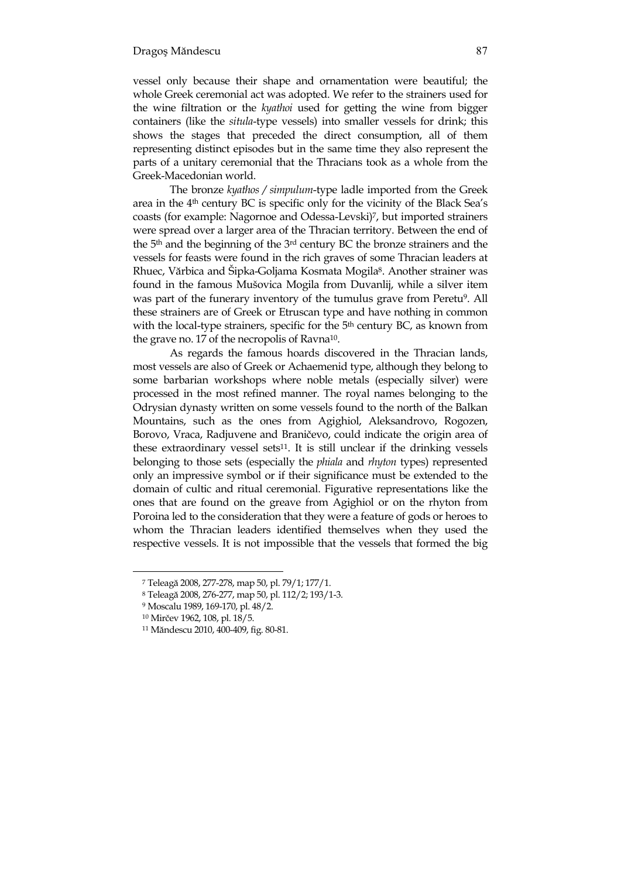vessel only because their shape and ornamentation were beautiful; the whole Greek ceremonial act was adopted. We refer to the strainers used for the wine filtration or the *kyathoi* used for getting the wine from bigger containers (like the *situla*-type vessels) into smaller vessels for drink; this shows the stages that preceded the direct consumption, all of them representing distinct episodes but in the same time they also represent the parts of a unitary ceremonial that the Thracians took as a whole from the Greek-Macedonian world.

The bronze *kyathos / simpulum*-type ladle imported from the Greek area in the 4th century BC is specific only for the vicinity of the Black Sea's coasts (for example: Nagornoe and Odessa-Levski)<sup>7</sup>, but imported strainers were spread over a larger area of the Thracian territory. Between the end of the 5th and the beginning of the 3rd century BC the bronze strainers and the vessels for feasts were found in the rich graves of some Thracian leaders at Rhuec, Vărbica and Šipka-Goljama Kosmata Mogila<sup>8</sup>. Another strainer was found in the famous Mušovica Mogila from Duvanlij, while a silver item was part of the funerary inventory of the tumulus grave from Peretu<sup>9</sup>. All these strainers are of Greek or Etruscan type and have nothing in common with the local-type strainers, specific for the 5<sup>th</sup> century BC, as known from the grave no. 17 of the necropolis of Ravna<sup>10</sup>.

As regards the famous hoards discovered in the Thracian lands, most vessels are also of Greek or Achaemenid type, although they belong to some barbarian workshops where noble metals (especially silver) were processed in the most refined manner. The royal names belonging to the Odrysian dynasty written on some vessels found to the north of the Balkan Mountains, such as the ones from Agighiol, Aleksandrovo, Rogozen, Borovo, Vraca, Radjuvene and Braničevo, could indicate the origin area of these extraordinary vessel sets $11$ . It is still unclear if the drinking vessels belonging to those sets (especially the *phiala* and *rhyton* types) represented only an impressive symbol or if their significance must be extended to the domain of cultic and ritual ceremonial. Figurative representations like the ones that are found on the greave from Agighiol or on the rhyton from Poroina led to the consideration that they were a feature of gods or heroes to whom the Thracian leaders identified themselves when they used the respective vessels. It is not impossible that the vessels that formed the big

<sup>&</sup>lt;sup>7</sup> Teleagă 2008, 277-278, map 50, pl. 79/1; 177/1.

<sup>8</sup> Teleagă 2008, 276-277, map 50, pl. 112/2; 193/1-3.

<sup>9</sup> Moscalu 1989, 169-170, pl. 48/2.

<sup>10</sup> Mirčev 1962, 108, pl. 18/5.

<sup>&</sup>lt;sup>11</sup> Măndescu 2010, 400-409, fig. 80-81.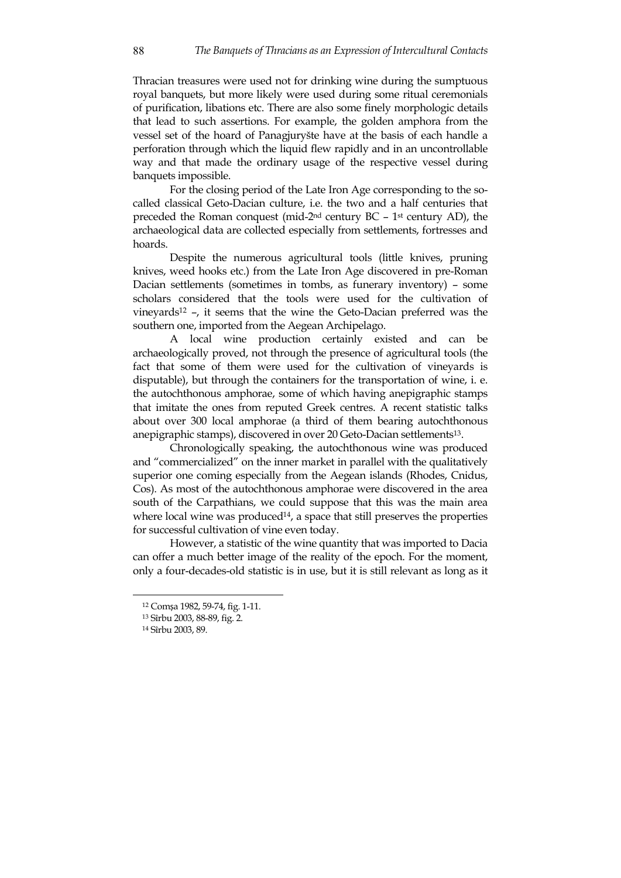Thracian treasures were used not for drinking wine during the sumptuous royal banquets, but more likely were used during some ritual ceremonials of purification, libations etc. There are also some finely morphologic details that lead to such assertions. For example, the golden amphora from the vessel set of the hoard of Panagjuryšte have at the basis of each handle a perforation through which the liquid flew rapidly and in an uncontrollable way and that made the ordinary usage of the respective vessel during banquets impossible.

For the closing period of the Late Iron Age corresponding to the socalled classical Geto-Dacian culture, i.e. the two and a half centuries that preceded the Roman conquest (mid-2nd century BC – 1st century AD), the archaeological data are collected especially from settlements, fortresses and hoards.

Despite the numerous agricultural tools (little knives, pruning knives, weed hooks etc.) from the Late Iron Age discovered in pre-Roman Dacian settlements (sometimes in tombs, as funerary inventory) – some scholars considered that the tools were used for the cultivation of vineyards<sup>12</sup> –, it seems that the wine the Geto-Dacian preferred was the southern one, imported from the Aegean Archipelago.

A local wine production certainly existed and can be archaeologically proved, not through the presence of agricultural tools (the fact that some of them were used for the cultivation of vineyards is disputable), but through the containers for the transportation of wine, i. e. the autochthonous amphorae, some of which having anepigraphic stamps that imitate the ones from reputed Greek centres. A recent statistic talks about over 300 local amphorae (a third of them bearing autochthonous anepigraphic stamps), discovered in over 20 Geto-Dacian settlements<sup>13</sup>.

Chronologically speaking, the autochthonous wine was produced and "commercialized" on the inner market in parallel with the qualitatively superior one coming especially from the Aegean islands (Rhodes, Cnidus, Cos). As most of the autochthonous amphorae were discovered in the area south of the Carpathians, we could suppose that this was the main area where local wine was produced<sup>14</sup>, a space that still preserves the properties for successful cultivation of vine even today.

 However, a statistic of the wine quantity that was imported to Dacia can offer a much better image of the reality of the epoch. For the moment, only a four-decades-old statistic is in use, but it is still relevant as long as it

<sup>12</sup> Comșa 1982, 59-74, fig. 1-11.

<sup>13</sup> Sîrbu 2003, 88-89, fig. 2.

<sup>14</sup> Sîrbu 2003, 89.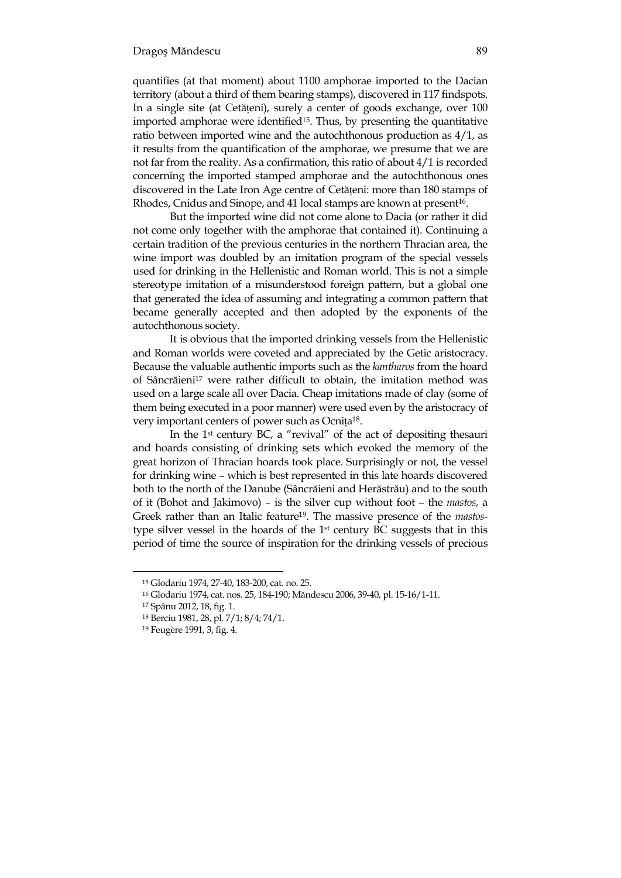quantifies (at that moment) about 1100 amphorae imported to the Dacian territory (about a third of them bearing stamps), discovered in 117 findspots. In a single site (at Cetățeni), surely a center of goods exchange, over 100 imported amphorae were identified<sup>15</sup>. Thus, by presenting the quantitative ratio between imported wine and the autochthonous production as 4/1, as it results from the quantification of the amphorae, we presume that we are not far from the reality. As a confirmation, this ratio of about 4/1 is recorded concerning the imported stamped amphorae and the autochthonous ones discovered in the Late Iron Age centre of Cetățeni: more than 180 stamps of Rhodes, Cnidus and Sinope, and 41 local stamps are known at present<sup>16</sup>.

 But the imported wine did not come alone to Dacia (or rather it did not come only together with the amphorae that contained it). Continuing a certain tradition of the previous centuries in the northern Thracian area, the wine import was doubled by an imitation program of the special vessels used for drinking in the Hellenistic and Roman world. This is not a simple stereotype imitation of a misunderstood foreign pattern, but a global one that generated the idea of assuming and integrating a common pattern that became generally accepted and then adopted by the exponents of the autochthonous society.

It is obvious that the imported drinking vessels from the Hellenistic and Roman worlds were coveted and appreciated by the Getic aristocracy. Because the valuable authentic imports such as the *kantharos* from the hoard of Sâncrăieni<sup>17</sup> were rather difficult to obtain, the imitation method was used on a large scale all over Dacia. Cheap imitations made of clay (some of them being executed in a poor manner) were used even by the aristocracy of very important centers of power such as Ocnița<sup>18</sup>.

In the 1st century BC, a "revival" of the act of depositing thesauri and hoards consisting of drinking sets which evoked the memory of the great horizon of Thracian hoards took place. Surprisingly or not, the vessel for drinking wine – which is best represented in this late hoards discovered both to the north of the Danube (Sâncrăieni and Herăstrău) and to the south of it (Bohot and Jakimovo) – is the silver cup without foot – the *mastos*, a Greek rather than an Italic feature19. The massive presence of the *mastos*type silver vessel in the hoards of the 1st century BC suggests that in this period of time the source of inspiration for the drinking vessels of precious

<sup>15</sup> Glodariu 1974, 27-40, 183-200, cat. no. 25.

<sup>&</sup>lt;sup>16</sup> Glodariu 1974, cat. nos. 25, 184-190; Măndescu 2006, 39-40, pl. 15-16/1-11.

<sup>17</sup> Spânu 2012, 18, fig. 1.

<sup>18</sup> Berciu 1981, 28, pl. 7/1; 8/4; 74/1.

<sup>19</sup> Feugère 1991, 3, fig. 4.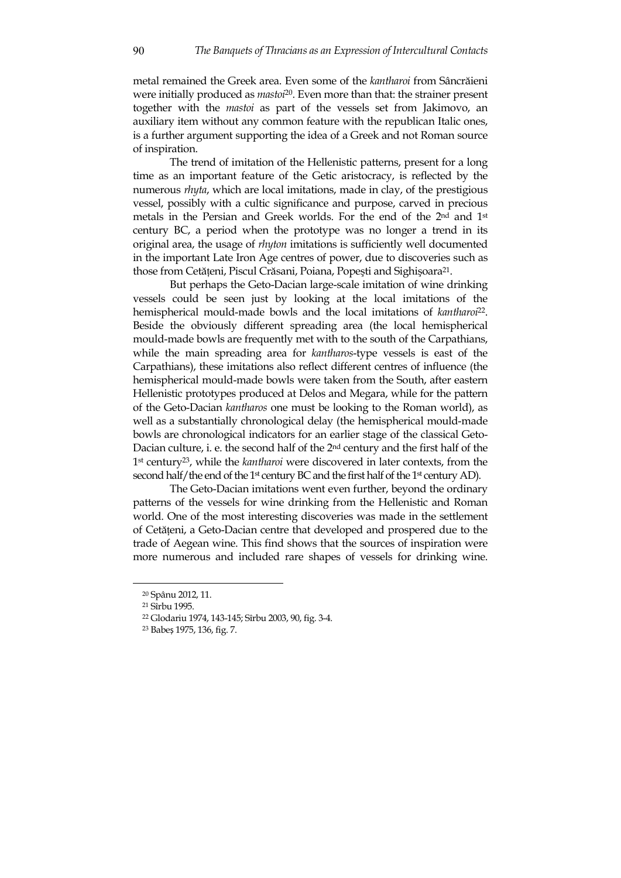metal remained the Greek area. Even some of the *kantharoi* from Sâncrăieni were initially produced as *mastoi*<sup>20</sup>. Even more than that: the strainer present together with the *mastoi* as part of the vessels set from Jakimovo, an auxiliary item without any common feature with the republican Italic ones, is a further argument supporting the idea of a Greek and not Roman source of inspiration.

The trend of imitation of the Hellenistic patterns, present for a long time as an important feature of the Getic aristocracy, is reflected by the numerous *rhyta*, which are local imitations, made in clay, of the prestigious vessel, possibly with a cultic significance and purpose, carved in precious metals in the Persian and Greek worlds. For the end of the 2nd and 1st century BC, a period when the prototype was no longer a trend in its original area, the usage of *rhyton* imitations is sufficiently well documented in the important Late Iron Age centres of power, due to discoveries such as those from Cetățeni, Piscul Crăsani, Poiana, Popești and Sighișoara<sup>21</sup>.

But perhaps the Geto-Dacian large-scale imitation of wine drinking vessels could be seen just by looking at the local imitations of the hemispherical mould-made bowls and the local imitations of *kantharoi*<sup>22</sup>. Beside the obviously different spreading area (the local hemispherical mould-made bowls are frequently met with to the south of the Carpathians, while the main spreading area for *kantharos*-type vessels is east of the Carpathians), these imitations also reflect different centres of influence (the hemispherical mould-made bowls were taken from the South, after eastern Hellenistic prototypes produced at Delos and Megara, while for the pattern of the Geto-Dacian *kantharos* one must be looking to the Roman world), as well as a substantially chronological delay (the hemispherical mould-made bowls are chronological indicators for an earlier stage of the classical Geto-Dacian culture, i. e. the second half of the 2nd century and the first half of the 1st century<sup>23</sup>, while the *kantharoi* were discovered in later contexts, from the second half/the end of the 1<sup>st</sup> century BC and the first half of the 1<sup>st</sup> century AD).

The Geto-Dacian imitations went even further, beyond the ordinary patterns of the vessels for wine drinking from the Hellenistic and Roman world. One of the most interesting discoveries was made in the settlement of Cetăteni, a Geto-Dacian centre that developed and prospered due to the trade of Aegean wine. This find shows that the sources of inspiration were more numerous and included rare shapes of vessels for drinking wine.

<sup>20</sup> Spânu 2012, 11.

<sup>21</sup> Sîrbu 1995.

<sup>22</sup> Glodariu 1974, 143-145; Sîrbu 2003, 90, fig. 3-4.

<sup>23</sup> Babeș 1975, 136, fig. 7.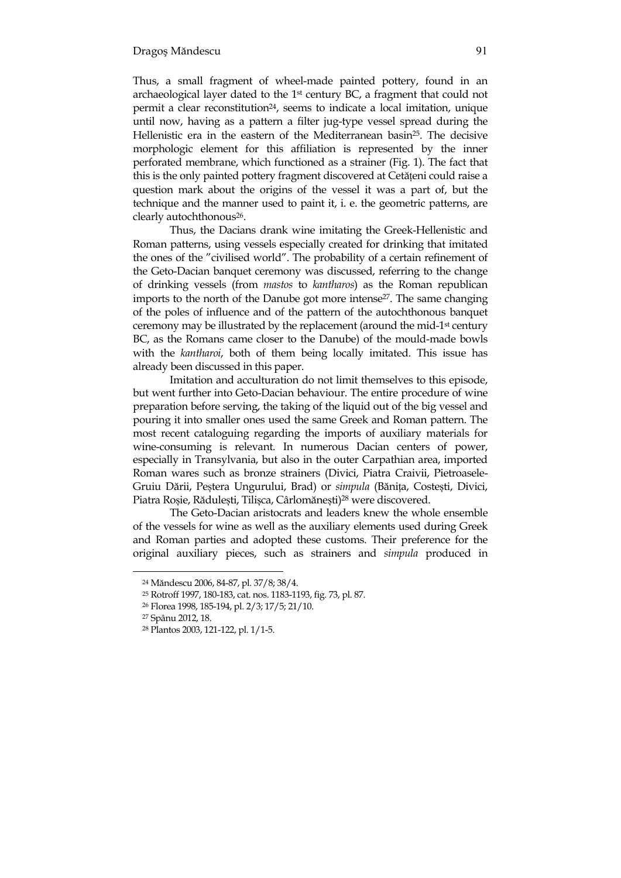Thus, a small fragment of wheel-made painted pottery, found in an archaeological layer dated to the 1st century BC, a fragment that could not permit a clear reconstitution<sup>24</sup>, seems to indicate a local imitation, unique until now, having as a pattern a filter jug-type vessel spread during the Hellenistic era in the eastern of the Mediterranean basin<sup>25</sup>. The decisive morphologic element for this affiliation is represented by the inner perforated membrane, which functioned as a strainer (Fig. 1). The fact that this is the only painted pottery fragment discovered at Cetăteni could raise a question mark about the origins of the vessel it was a part of, but the technique and the manner used to paint it, i. e. the geometric patterns, are clearly autochthonous<sup>26</sup>.

Thus, the Dacians drank wine imitating the Greek-Hellenistic and Roman patterns, using vessels especially created for drinking that imitated the ones of the "civilised world". The probability of a certain refinement of the Geto-Dacian banquet ceremony was discussed, referring to the change of drinking vessels (from *mastos* to *kantharos*) as the Roman republican imports to the north of the Danube got more intense<sup>27</sup>. The same changing of the poles of influence and of the pattern of the autochthonous banquet ceremony may be illustrated by the replacement (around the mid-1st century BC, as the Romans came closer to the Danube) of the mould-made bowls with the *kantharoi*, both of them being locally imitated. This issue has already been discussed in this paper.

Imitation and acculturation do not limit themselves to this episode, but went further into Geto-Dacian behaviour. The entire procedure of wine preparation before serving, the taking of the liquid out of the big vessel and pouring it into smaller ones used the same Greek and Roman pattern. The most recent cataloguing regarding the imports of auxiliary materials for wine-consuming is relevant. In numerous Dacian centers of power, especially in Transylvania, but also in the outer Carpathian area, imported Roman wares such as bronze strainers (Divici, Piatra Craivii, Pietroasele-Gruiu Dării, Peștera Ungurului, Brad) or *simpula* (Bănița, Costești, Divici, Piatra Roșie, Rădulești, Tilișca, Cârlomănești)<sup>28</sup> were discovered.

The Geto-Dacian aristocrats and leaders knew the whole ensemble of the vessels for wine as well as the auxiliary elements used during Greek and Roman parties and adopted these customs. Their preference for the original auxiliary pieces, such as strainers and *simpula* produced in

<sup>&</sup>lt;sup>24</sup> Măndescu 2006, 84-87, pl. 37/8; 38/4.

<sup>25</sup> Rotroff 1997, 180-183, cat. nos. 1183-1193, fig. 73, pl. 87.

<sup>26</sup> Florea 1998, 185-194, pl. 2/3; 17/5; 21/10.

<sup>27</sup> Spânu 2012, 18.

<sup>28</sup> Plantos 2003, 121-122, pl. 1/1-5.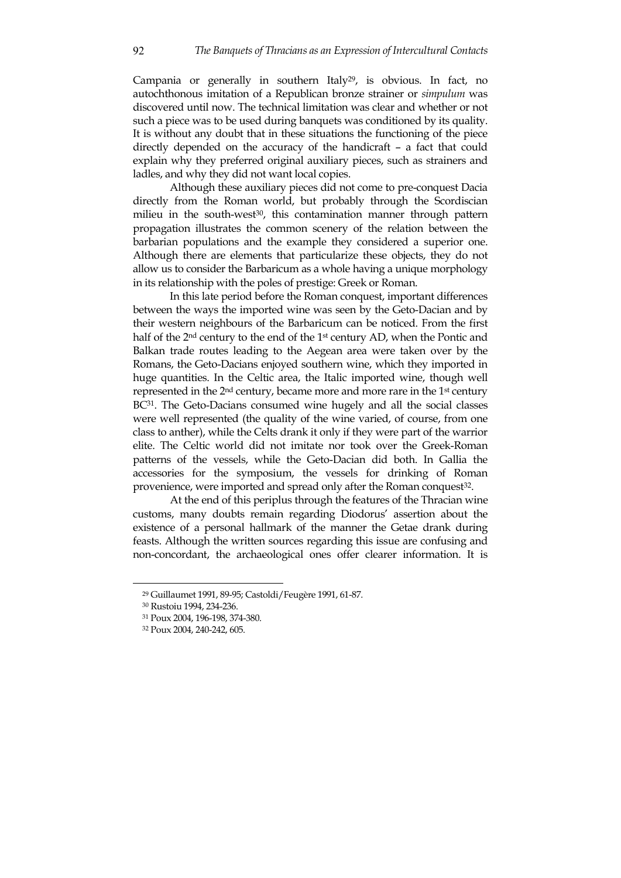Campania or generally in southern Italy<sup>29</sup>, is obvious. In fact, no autochthonous imitation of a Republican bronze strainer or *simpulum* was discovered until now. The technical limitation was clear and whether or not such a piece was to be used during banquets was conditioned by its quality. It is without any doubt that in these situations the functioning of the piece directly depended on the accuracy of the handicraft – a fact that could explain why they preferred original auxiliary pieces, such as strainers and ladles, and why they did not want local copies.

Although these auxiliary pieces did not come to pre-conquest Dacia directly from the Roman world, but probably through the Scordiscian milieu in the south-west<sup>30</sup>, this contamination manner through pattern propagation illustrates the common scenery of the relation between the barbarian populations and the example they considered a superior one. Although there are elements that particularize these objects, they do not allow us to consider the Barbaricum as a whole having a unique morphology in its relationship with the poles of prestige: Greek or Roman.

In this late period before the Roman conquest, important differences between the ways the imported wine was seen by the Geto-Dacian and by their western neighbours of the Barbaricum can be noticed. From the first half of the 2nd century to the end of the 1st century AD, when the Pontic and Balkan trade routes leading to the Aegean area were taken over by the Romans, the Geto-Dacians enjoyed southern wine, which they imported in huge quantities. In the Celtic area, the Italic imported wine, though well represented in the 2nd century, became more and more rare in the 1st century BC<sup>31</sup>. The Geto-Dacians consumed wine hugely and all the social classes were well represented (the quality of the wine varied, of course, from one class to anther), while the Celts drank it only if they were part of the warrior elite. The Celtic world did not imitate nor took over the Greek-Roman patterns of the vessels, while the Geto-Dacian did both. In Gallia the accessories for the symposium, the vessels for drinking of Roman provenience, were imported and spread only after the Roman conquest<sup>32</sup>.

At the end of this periplus through the features of the Thracian wine customs, many doubts remain regarding Diodorus' assertion about the existence of a personal hallmark of the manner the Getae drank during feasts. Although the written sources regarding this issue are confusing and non-concordant, the archaeological ones offer clearer information. It is

<sup>29</sup> Guillaumet 1991, 89-95; Castoldi/Feugère 1991, 61-87.

<sup>30</sup> Rustoiu 1994, 234-236.

<sup>31</sup> Poux 2004, 196-198, 374-380.

<sup>32</sup> Poux 2004, 240-242, 605.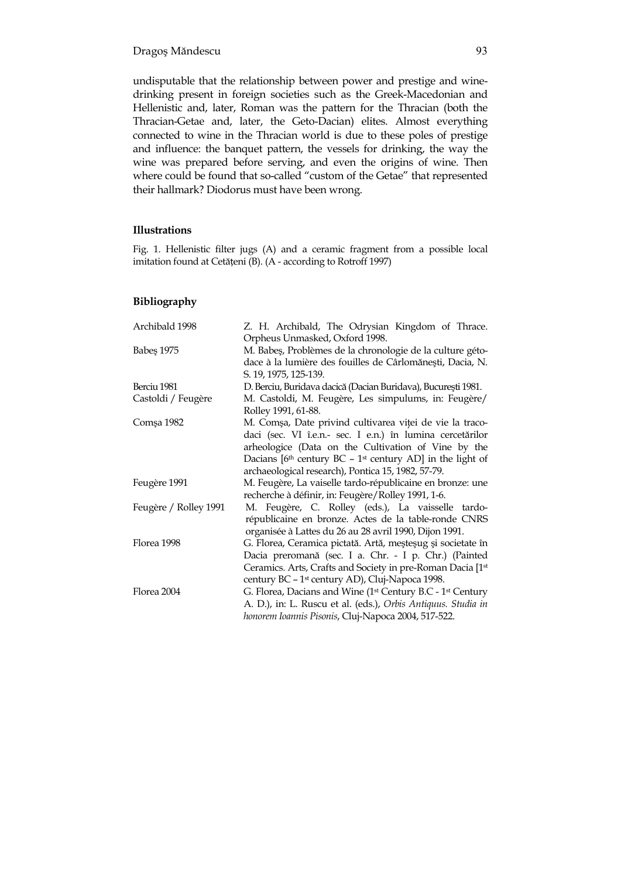undisputable that the relationship between power and prestige and winedrinking present in foreign societies such as the Greek-Macedonian and Hellenistic and, later, Roman was the pattern for the Thracian (both the Thracian-Getae and, later, the Geto-Dacian) elites. Almost everything connected to wine in the Thracian world is due to these poles of prestige and influence: the banquet pattern, the vessels for drinking, the way the wine was prepared before serving, and even the origins of wine. Then where could be found that so-called "custom of the Getae" that represented their hallmark? Diodorus must have been wrong.

#### **Illustrations**

Fig. 1. Hellenistic filter jugs (A) and a ceramic fragment from a possible local imitation found at Cetățeni (B). (A - according to Rotroff 1997)

#### **Bibliography**

| Archibald 1998        | Z. H. Archibald, The Odrysian Kingdom of Thrace.                                   |
|-----------------------|------------------------------------------------------------------------------------|
|                       | Orpheus Unmasked, Oxford 1998.                                                     |
| Babes 1975            | M. Babeș, Problèmes de la chronologie de la culture géto-                          |
|                       | dace à la lumière des fouilles de Cârlomănești, Dacia, N.                          |
|                       | S. 19, 1975, 125-139.                                                              |
| Berciu 1981           | D. Berciu, Buridava dacică (Dacian Buridava), București 1981.                      |
| Castoldi / Feugère    | M. Castoldi, M. Feugère, Les simpulums, in: Feugère/                               |
|                       | Rolley 1991, 61-88.                                                                |
| Comşa 1982            | M. Comșa, Date privind cultivarea viței de vie la traco-                           |
|                       | daci (sec. VI î.e.n.- sec. I e.n.) în lumina cercetărilor                          |
|                       | arheologice (Data on the Cultivation of Vine by the                                |
|                       | Dacians $[6th$ century BC - 1 <sup>st</sup> century AD] in the light of            |
|                       | archaeological research), Pontica 15, 1982, 57-79.                                 |
| Feugère 1991          | M. Feugère, La vaiselle tardo-républicaine en bronze: une                          |
|                       | recherche à définir, in: Feugère/Rolley 1991, 1-6.                                 |
| Feugère / Rolley 1991 | M. Feugère, C. Rolley (eds.), La vaisselle tardo-                                  |
|                       | républicaine en bronze. Actes de la table-ronde CNRS                               |
|                       | organisée à Lattes du 26 au 28 avril 1990, Dijon 1991.                             |
| Florea 1998           | G. Florea, Ceramica pictată. Artă, meșteșug și societate în                        |
|                       | Dacia preromană (sec. I a. Chr. - I p. Chr.) (Painted                              |
|                       | Ceramics. Arts, Crafts and Society in pre-Roman Dacia [1st]                        |
|                       | century BC - 1 <sup>st</sup> century AD), Cluj-Napoca 1998.                        |
| Florea 2004           | G. Florea, Dacians and Wine (1 <sup>st</sup> Century B.C - 1 <sup>st</sup> Century |
|                       | A. D.), in: L. Ruscu et al. (eds.), Orbis Antiquus. Studia in                      |
|                       | honorem Ioannis Pisonis, Cluj-Napoca 2004, 517-522.                                |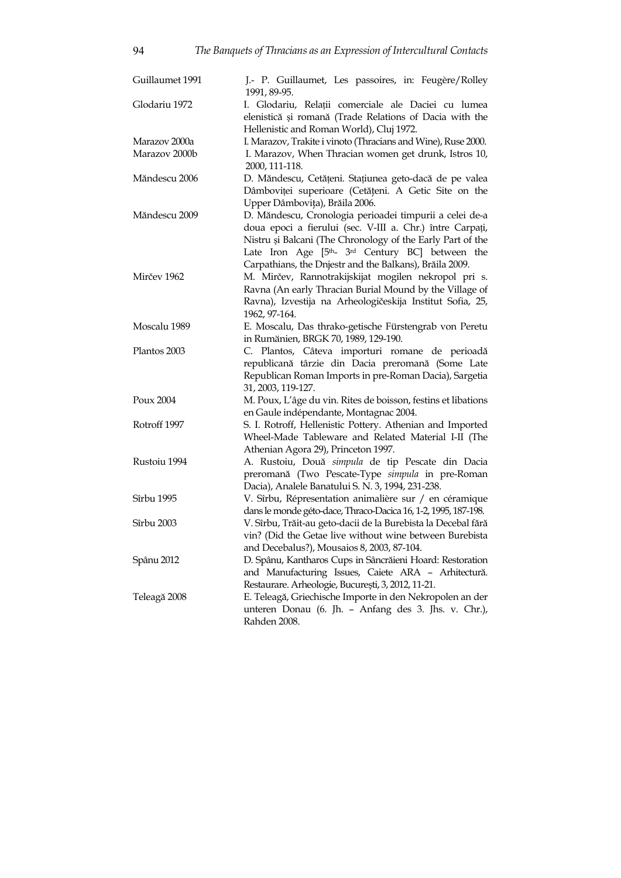| Guillaumet 1991           | J.- P. Guillaumet, Les passoires, in: Feugère/Rolley<br>1991, 89-95.                                             |
|---------------------------|------------------------------------------------------------------------------------------------------------------|
| Glodariu 1972             | I. Glodariu, Relații comerciale ale Daciei cu lumea<br>elenistică și romană (Trade Relations of Dacia with the   |
|                           | Hellenistic and Roman World), Cluj 1972.                                                                         |
| Marazov 2000a             | I. Marazov, Trakite i vinoto (Thracians and Wine), Ruse 2000.                                                    |
| Marazov 2000b             | I. Marazov, When Thracian women get drunk, Istros 10,                                                            |
|                           | 2000, 111-118.                                                                                                   |
| Măndescu 2006             | D. Măndescu, Cetățeni. Stațiunea geto-dacă de pe valea                                                           |
|                           | Dâmboviței superioare (Cetățeni. A Getic Site on the                                                             |
|                           | Upper Dâmbovița), Brăila 2006.                                                                                   |
| Măndescu 2009             | D. Măndescu, Cronologia perioadei timpurii a celei de-a                                                          |
|                           | doua epoci a fierului (sec. V-III a. Chr.) între Carpați,                                                        |
|                           | Nistru și Balcani (The Chronology of the Early Part of the                                                       |
|                           | Late Iron Age [5 <sup>th</sup> - 3 <sup>rd</sup> Century BC] between the                                         |
|                           | Carpathians, the Dnjestr and the Balkans), Brăila 2009.                                                          |
| Mirčev 1962               | M. Mirčev, Rannotrakijskijat mogilen nekropol pri s.                                                             |
|                           | Ravna (An early Thracian Burial Mound by the Village of                                                          |
|                           | Ravna), Izvestija na Arheologičeskija Institut Sofia, 25,                                                        |
|                           | 1962, 97-164.                                                                                                    |
| Moscalu 1989              | E. Moscalu, Das thrako-getische Fürstengrab von Peretu                                                           |
|                           | in Rumänien, BRGK 70, 1989, 129-190.                                                                             |
| Plantos 2003              | C. Plantos, Câteva importuri romane de perioadă                                                                  |
|                           | republicană târzie din Dacia preromană (Some Late                                                                |
|                           | Republican Roman Imports in pre-Roman Dacia), Sargetia                                                           |
| Poux 2004<br>Rotroff 1997 | 31, 2003, 119-127.                                                                                               |
|                           | M. Poux, L'âge du vin. Rites de boisson, festins et libations                                                    |
|                           | en Gaule indépendante, Montagnac 2004.                                                                           |
|                           | S. I. Rotroff, Hellenistic Pottery. Athenian and Imported<br>Wheel-Made Tableware and Related Material I-II (The |
|                           | Athenian Agora 29), Princeton 1997.                                                                              |
| Rustoiu 1994              | A. Rustoiu, Două simpula de tip Pescate din Dacia                                                                |
|                           | preromană (Two Pescate-Type simpula in pre-Roman                                                                 |
|                           | Dacia), Analele Banatului S. N. 3, 1994, 231-238.                                                                |
| Sîrbu 1995                | V. Sîrbu, Répresentation animalière sur / en céramique                                                           |
|                           | dans le monde géto-dace, Thraco-Dacica 16, 1-2, 1995, 187-198.                                                   |
| Sîrbu 2003                | V. Sîrbu, Trăit-au geto-dacii de la Burebista la Decebal fără                                                    |
|                           | vin? (Did the Getae live without wine between Burebista                                                          |
|                           | and Decebalus?), Mousaios 8, 2003, 87-104.                                                                       |
| Spânu 2012                | D. Spânu, Kantharos Cups in Sâncrăieni Hoard: Restoration                                                        |
|                           | and Manufacturing Issues, Caiete ARA - Arhitectură.                                                              |
|                           | Restaurare. Arheologie, București, 3, 2012, 11-21.                                                               |
| Teleagă 2008              | E. Teleagă, Griechische Importe in den Nekropolen an der                                                         |
|                           | unteren Donau (6. Jh. - Anfang des 3. Jhs. v. Chr.),                                                             |
|                           | Rahden 2008.                                                                                                     |